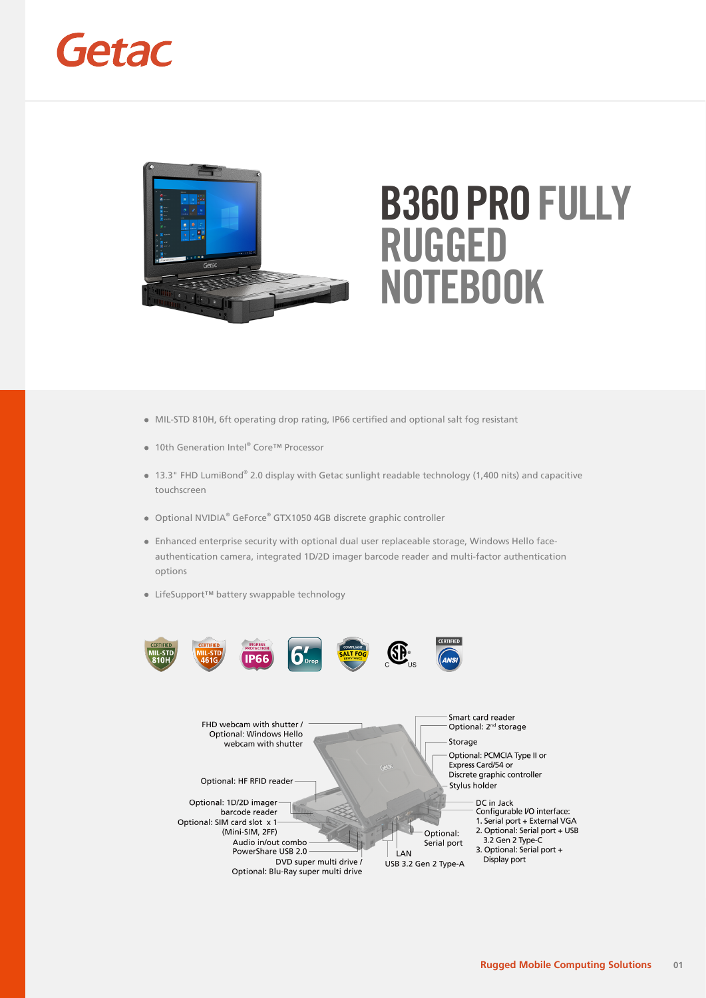# Getac



# **B360 PRO FULLY RUGGED NOTEBOOK**

- MIL-STD 810H, 6ft operating drop rating, IP66 certified and optional salt fog resistant
- 10th Generation Intel® Core™ Processor
- 13.3" FHD LumiBond® 2.0 display with Getac sunlight readable technology (1,400 nits) and capacitive touchscreen
- Optional NVIDIA® GeForce® GTX1050 4GB discrete graphic controller
- Enhanced enterprise security with optional dual user replaceable storage, Windows Hello faceauthentication camera, integrated 1D/2D imager barcode reader and multi-factor authentication options
- LifeSupport™ battery swappable technology



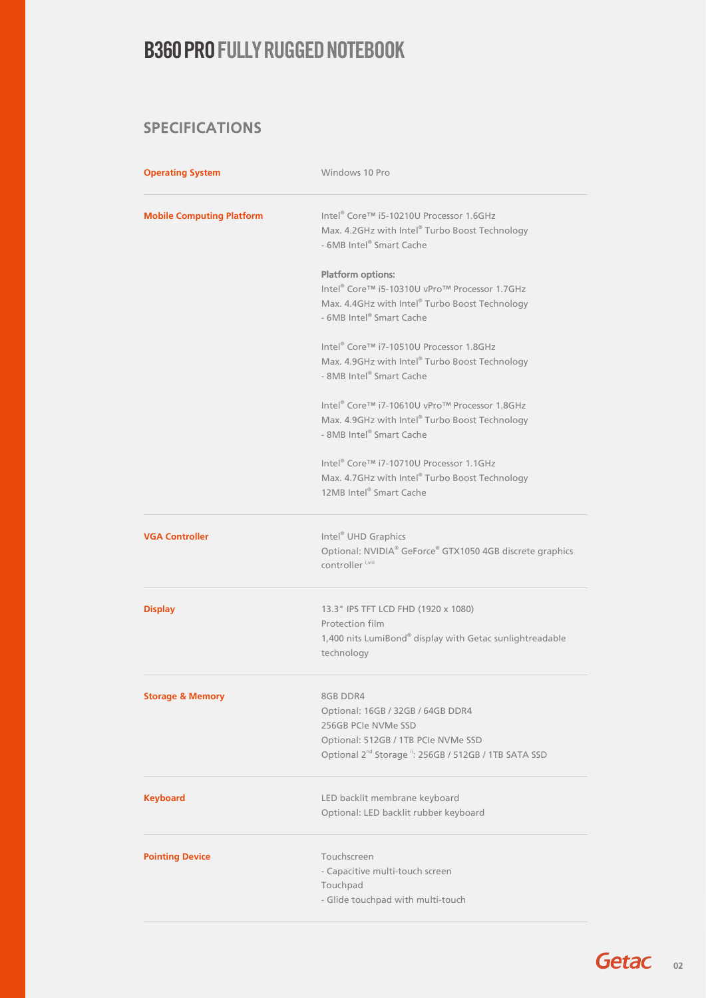#### SPECIFICATIONS

| <b>Operating System</b>          | Windows 10 Pro                                                                                                                                                                   |
|----------------------------------|----------------------------------------------------------------------------------------------------------------------------------------------------------------------------------|
| <b>Mobile Computing Platform</b> | Intel® Core™ i5-10210U Processor 1.6GHz<br>Max. 4.2GHz with Intel® Turbo Boost Technology<br>- 6MB Intel® Smart Cache                                                            |
|                                  | <b>Platform options:</b><br>Intel® Core™ i5-10310U vPro™ Processor 1.7GHz<br>Max. 4.4GHz with Intel® Turbo Boost Technology<br>- 6MB Intel® Smart Cache                          |
|                                  | Intel® Core™ i7-10510U Processor 1.8GHz<br>Max. 4.9GHz with Intel® Turbo Boost Technology<br>- 8MB Intel® Smart Cache                                                            |
|                                  | Intel® Core™ i7-10610U vPro™ Processor 1.8GHz<br>Max. 4.9GHz with Intel® Turbo Boost Technology<br>- 8MB Intel® Smart Cache                                                      |
|                                  | Intel® Core™ i7-10710U Processor 1.1GHz<br>Max. 4.7GHz with Intel® Turbo Boost Technology<br>12MB Intel® Smart Cache                                                             |
| <b>VGA Controller</b>            | Intel <sup>®</sup> UHD Graphics<br>Optional: NVIDIA® GeForce® GTX1050 4GB discrete graphics<br>controller i,viii                                                                 |
| <b>Display</b>                   | 13.3" IPS TFT LCD FHD (1920 x 1080)<br>Protection film<br>1,400 nits LumiBond® display with Getac sunlightreadable<br>technology                                                 |
| <b>Storage &amp; Memory</b>      | 8GB DDR4<br>Optional: 16GB / 32GB / 64GB DDR4<br>256GB PCIe NVMe SSD<br>Optional: 512GB / 1TB PCIe NVMe SSD<br>Optional 2 <sup>nd</sup> Storage ii: 256GB / 512GB / 1TB SATA SSD |
| <b>Keyboard</b>                  | LED backlit membrane keyboard<br>Optional: LED backlit rubber keyboard                                                                                                           |
| <b>Pointing Device</b>           | Touchscreen<br>- Capacitive multi-touch screen<br>Touchpad<br>- Glide touchpad with multi-touch                                                                                  |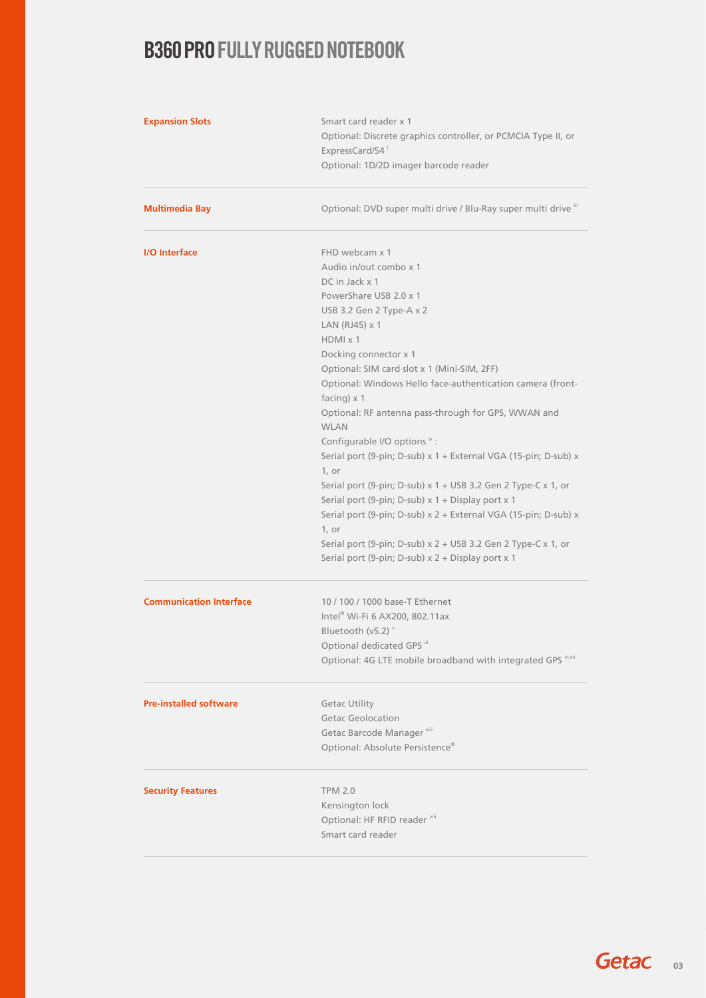| <b>Expansion Slots</b>         | Smart card reader x 1<br>Optional: Discrete graphics controller, or PCMCIA Type II, or<br>ExpressCard/54 <sup>i</sup><br>Optional: 1D/2D imager barcode reader                                                                                                                                                                                                                                                                                                                                                                                                                                                                                                                                                                                                                                                                      |
|--------------------------------|-------------------------------------------------------------------------------------------------------------------------------------------------------------------------------------------------------------------------------------------------------------------------------------------------------------------------------------------------------------------------------------------------------------------------------------------------------------------------------------------------------------------------------------------------------------------------------------------------------------------------------------------------------------------------------------------------------------------------------------------------------------------------------------------------------------------------------------|
| <b>Multimedia Bay</b>          | Optional: DVD super multi drive / Blu-Ray super multi drive "                                                                                                                                                                                                                                                                                                                                                                                                                                                                                                                                                                                                                                                                                                                                                                       |
| I/O Interface                  | FHD webcam x 1<br>Audio in/out combo x 1<br>DC in Jack x 1<br>PowerShare USB 2.0 x 1<br>USB 3.2 Gen 2 Type-A x 2<br>LAN (RJ45) x 1<br>$HDMI \times 1$<br>Docking connector x 1<br>Optional: SIM card slot x 1 (Mini-SIM, 2FF)<br>Optional: Windows Hello face-authentication camera (front-<br>facing) $\times$ 1<br>Optional: RF antenna pass-through for GPS, WWAN and<br><b>WLAN</b><br>Configurable I/O options iv:<br>Serial port (9-pin; D-sub) x 1 + External VGA (15-pin; D-sub) x<br>1, or<br>Serial port (9-pin; D-sub) $x$ 1 + USB 3.2 Gen 2 Type-C $x$ 1, or<br>Serial port (9-pin; D-sub) x 1 + Display port x 1<br>Serial port (9-pin; D-sub) x 2 + External VGA (15-pin; D-sub) x<br>1, or<br>Serial port (9-pin; D-sub) $x$ 2 + USB 3.2 Gen 2 Type-C $x$ 1, or<br>Serial port (9-pin; D-sub) x 2 + Display port x 1 |
| <b>Communication Interface</b> | 10 / 100 / 1000 base-T Ethernet<br>Intel <sup>®</sup> Wi-Fi 6 AX200, 802.11ax<br>Bluetooth (v5.2) v<br>Optional dedicated GPS vi<br>Optional: 4G LTE mobile broadband with integrated GPS vi,vii                                                                                                                                                                                                                                                                                                                                                                                                                                                                                                                                                                                                                                    |
| <b>Pre-installed software</b>  | <b>Getac Utility</b><br><b>Getac Geolocation</b><br>Getac Barcode Manager <sup>xiii</sup><br>Optional: Absolute Persistence®                                                                                                                                                                                                                                                                                                                                                                                                                                                                                                                                                                                                                                                                                                        |
| <b>Security Features</b>       | <b>TPM 2.0</b><br>Kensington lock<br>Optional: HF RFID reader viii<br>Smart card reader                                                                                                                                                                                                                                                                                                                                                                                                                                                                                                                                                                                                                                                                                                                                             |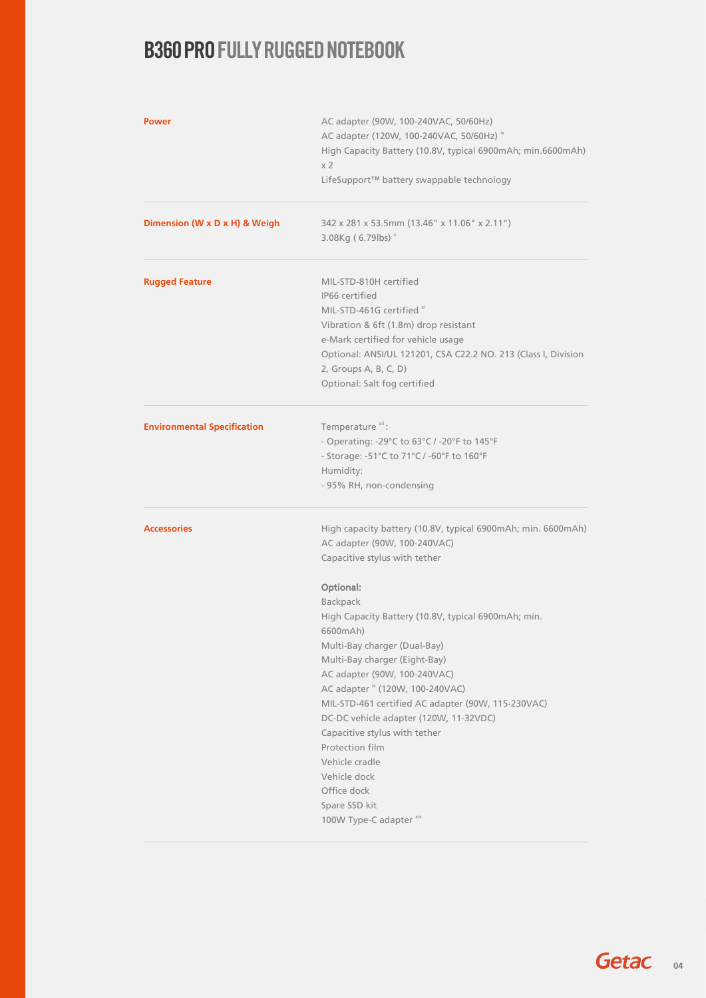| <b>Power</b>                       | AC adapter (90W, 100-240VAC, 50/60Hz)<br>AC adapter (120W, 100-240VAC, 50/60Hz) ix<br>High Capacity Battery (10.8V, typical 6900mAh; min.6600mAh)<br>x <sub>2</sub><br>LifeSupport™ battery swappable technology                                                                                                                                                                                                                                                                                                                                                                                                |
|------------------------------------|-----------------------------------------------------------------------------------------------------------------------------------------------------------------------------------------------------------------------------------------------------------------------------------------------------------------------------------------------------------------------------------------------------------------------------------------------------------------------------------------------------------------------------------------------------------------------------------------------------------------|
| Dimension (W x D x H) & Weigh      | 342 x 281 x 53.5mm (13.46" x 11.06" x 2.11")<br>3.08Kg (6.79lbs) ×                                                                                                                                                                                                                                                                                                                                                                                                                                                                                                                                              |
| <b>Rugged Feature</b>              | MIL-STD-810H certified<br>IP66 certified<br>MIL-STD-461G certified x<br>Vibration & 6ft (1.8m) drop resistant<br>e-Mark certified for vehicle usage<br>Optional: ANSI/UL 121201, CSA C22.2 NO. 213 (Class I, Division<br>2, Groups A, B, C, D)<br>Optional: Salt fog certified                                                                                                                                                                                                                                                                                                                                  |
| <b>Environmental Specification</b> | Temperature <sup>xii</sup> :<br>- Operating: -29°C to 63°C / -20°F to 145°F<br>- Storage: -51°C to 71°C / -60°F to 160°F<br>Humidity:<br>- 95% RH, non-condensing                                                                                                                                                                                                                                                                                                                                                                                                                                               |
| <b>Accessories</b>                 | High capacity battery (10.8V, typical 6900mAh; min. 6600mAh)<br>AC adapter (90W, 100-240VAC)<br>Capacitive stylus with tether<br>Optional:<br>Backpack<br>High Capacity Battery (10.8V, typical 6900mAh; min.<br>6600mAh)<br>Multi-Bay charger (Dual-Bay)<br>Multi-Bay charger (Eight-Bay)<br>AC adapter (90W, 100-240VAC)<br>AC adapter ix (120W, 100-240VAC)<br>MIL-STD-461 certified AC adapter (90W, 115-230VAC)<br>DC-DC vehicle adapter (120W, 11-32VDC)<br>Capacitive stylus with tether<br>Protection film<br>Vehicle cradle<br>Vehicle dock<br>Office dock<br>Spare SSD kit<br>100W Type-C adapter xiv |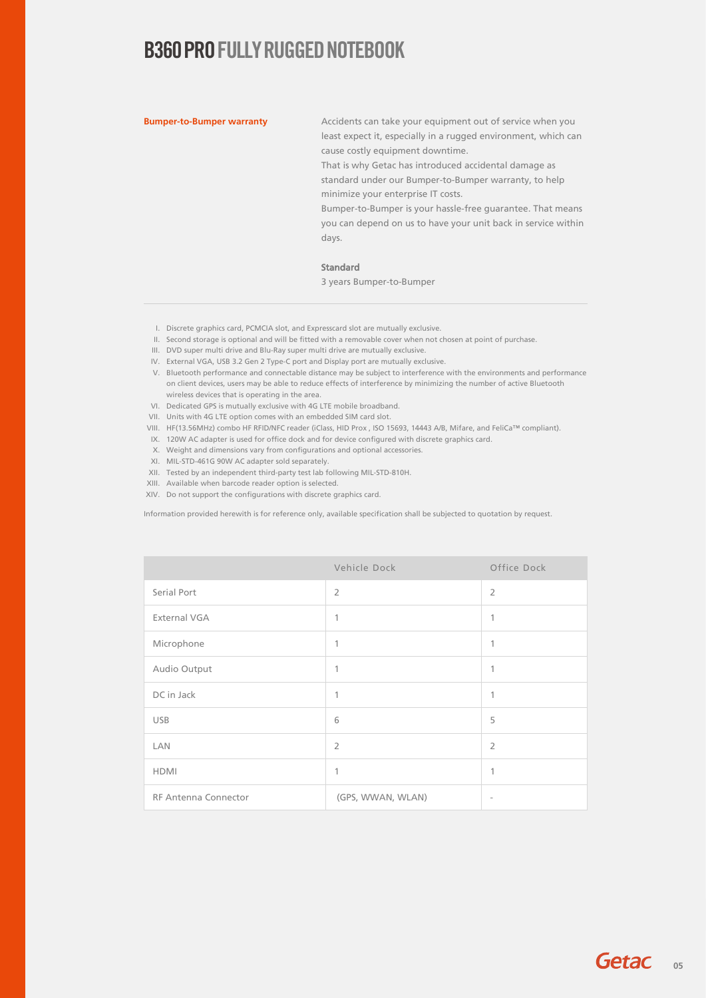**Bumper-to-Bumper warranty** Accidents can take your equipment out of service when you least expect it, especially in a rugged environment, which can cause costly equipment downtime.

> That is why Getac has introduced accidental damage as standard under our Bumper-to-Bumper warranty, to help minimize your enterprise IT costs.

Bumper-to-Bumper is your hassle-free guarantee. That means you can depend on us to have your unit back in service within days.

#### Standard

3 years Bumper-to-Bumper

- I. Discrete graphics card, PCMCIA slot, and Expresscard slot are mutually exclusive.
- II. Second storage is optional and will be fitted with a removable cover when not chosen at point of purchase.
- III. DVD super multi drive and Blu-Ray super multi drive are mutually exclusive.
- IV. External VGA, USB 3.2 Gen 2 Type-C port and Display port are mutually exclusive.
- V. Bluetooth performance and connectable distance may be subject to interference with the environments and performance on client devices, users may be able to reduce effects of interference by minimizing the number of active Bluetooth wireless devices that is operating in the area.
- VI. Dedicated GPS is mutually exclusive with 4G LTE mobile broadband.
- VII. Units with 4G LTE option comes with an embedded SIM card slot.
- VIII. HF(13.56MHz) combo HF RFID/NFC reader (iClass, HID Prox , ISO 15693, 14443 A/B, Mifare, and FeliCa™ compliant).
- IX. 120W AC adapter is used for office dock and for device configured with discrete graphics card.
- X. Weight and dimensions vary from configurations and optional accessories.
- XI. MIL-STD-461G 90W AC adapter sold separately.
- XII. Tested by an independent third-party test lab following MIL-STD-810H.
- XIII. Available when barcode reader option is selected.
- XIV. Do not support the configurations with discrete graphics card.

Information provided herewith is for reference only, available specification shall be subjected to quotation by request.

|                             | Vehicle Dock      | Office Dock              |
|-----------------------------|-------------------|--------------------------|
| Serial Port                 | $\overline{2}$    | $\overline{2}$           |
| External VGA                | 1                 | 1                        |
| Microphone                  | 1                 | 1                        |
| Audio Output                | 1                 | 1                        |
| DC in Jack                  | $\mathbf{1}$      | 1                        |
| <b>USB</b>                  | 6                 | 5                        |
| <b>LAN</b>                  | $\overline{2}$    | $\overline{2}$           |
| <b>HDMI</b>                 | 1                 | 1                        |
| <b>RF Antenna Connector</b> | (GPS, WWAN, WLAN) | $\overline{\phantom{a}}$ |